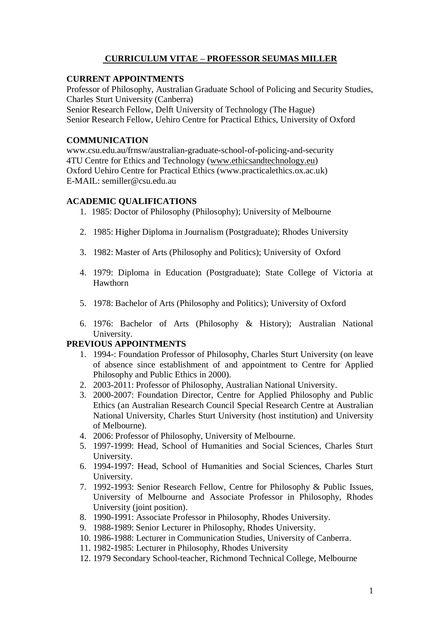# **CURRICULUM VITAE – PROFESSOR SEUMAS MILLER**

# **CURRENT APPOINTMENTS**

Professor of Philosophy, Australian Graduate School of Policing and Security Studies, Charles Sturt University (Canberra) Senior Research Fellow, Delft University of Technology (The Hague) Senior Research Fellow, Uehiro Centre for Practical Ethics, University of Oxford

# **COMMUNICATION**

www.csu.edu.au/frnsw/australian-graduate-school-of-policing-and-security 4TU Centre for Ethics and Technology [\(www.ethicsandtechnology.eu\)](http://www.ethicsandtechnology.eu/) Oxford Uehiro Centre for Practical Ethics (www.practicalethics.ox.ac.uk) E-MAIL: semiller@csu.edu.au

# **ACADEMIC QUALIFICATIONS**

- 1. 1985: Doctor of Philosophy (Philosophy); University of Melbourne
- 2. 1985: Higher Diploma in Journalism (Postgraduate); Rhodes University
- 3. 1982: Master of Arts (Philosophy and Politics); University of Oxford
- 4. 1979: Diploma in Education (Postgraduate); State College of Victoria at Hawthorn
- 5. 1978: Bachelor of Arts (Philosophy and Politics); University of Oxford
- 6. 1976: Bachelor of Arts (Philosophy & History); Australian National University.

# **PREVIOUS APPOINTMENTS**

- 1. 1994-: Foundation Professor of Philosophy, Charles Sturt University (on leave of absence since establishment of and appointment to Centre for Applied Philosophy and Public Ethics in 2000).
- 2. 2003-2011: Professor of Philosophy, Australian National University.
- 3. 2000-2007: Foundation Director, Centre for Applied Philosophy and Public Ethics (an Australian Research Council Special Research Centre at Australian National University, Charles Sturt University (host institution) and University of Melbourne).
- 4. 2006: Professor of Philosophy, University of Melbourne.
- 5. 1997-1999: Head, School of Humanities and Social Sciences, Charles Sturt University.
- 6. 1994-1997: Head, School of Humanities and Social Sciences, Charles Sturt University.
- 7. 1992-1993: Senior Research Fellow, Centre for Philosophy & Public Issues, University of Melbourne and Associate Professor in Philosophy, Rhodes University (joint position).
- 8. 1990-1991: Associate Professor in Philosophy, Rhodes University.
- 9. 1988-1989: Senior Lecturer in Philosophy, Rhodes University.
- 10. 1986-1988: Lecturer in Communication Studies, University of Canberra.
- 11. 1982-1985: Lecturer in Philosophy, Rhodes University
- 12. 1979 Secondary School-teacher, Richmond Technical College, Melbourne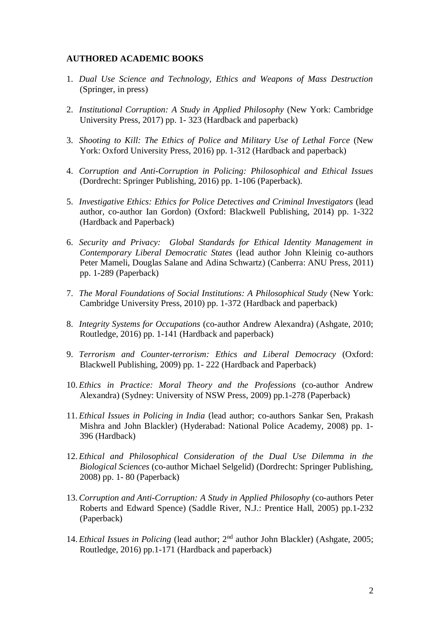## **AUTHORED ACADEMIC BOOKS**

- 1. *Dual Use Science and Technology, Ethics and Weapons of Mass Destruction* (Springer, in press)
- 2. *Institutional Corruption: A Study in Applied Philosophy* (New York: Cambridge University Press, 2017) pp. 1- 323 (Hardback and paperback)
- 3. *Shooting to Kill: The Ethics of Police and Military Use of Lethal Force* (New York: Oxford University Press, 2016) pp. 1-312 (Hardback and paperback)
- 4. *Corruption and Anti-Corruption in Policing: Philosophical and Ethical Issues*  (Dordrecht: Springer Publishing, 2016) pp. 1-106 (Paperback).
- 5. *Investigative Ethics: Ethics for Police Detectives and Criminal Investigators* (lead author, co-author Ian Gordon) (Oxford: Blackwell Publishing, 2014) pp. 1-322 (Hardback and Paperback)
- 6. *Security and Privacy: Global Standards for Ethical Identity Management in Contemporary Liberal Democratic States* (lead author John Kleinig co-authors Peter Mameli, Douglas Salane and Adina Schwartz) (Canberra: ANU Press, 2011) pp. 1-289 (Paperback)
- 7. *The Moral Foundations of Social Institutions: A Philosophical Study* (New York: Cambridge University Press, 2010) pp. 1-372 (Hardback and paperback)
- 8. *Integrity Systems for Occupations* (co-author Andrew Alexandra) (Ashgate, 2010; Routledge, 2016) pp. 1-141 (Hardback and paperback)
- 9. *Terrorism and Counter-terrorism: Ethics and Liberal Democracy* (Oxford: Blackwell Publishing, 2009) pp. 1- 222 (Hardback and Paperback)
- 10. *Ethics in Practice: Moral Theory and the Professions* (co-author Andrew Alexandra) (Sydney: University of NSW Press, 2009) pp.1-278 (Paperback)
- 11. *Ethical Issues in Policing in India* (lead author; co-authors Sankar Sen, Prakash Mishra and John Blackler) (Hyderabad: National Police Academy, 2008) pp. 1- 396 (Hardback)
- 12. *Ethical and Philosophical Consideration of the Dual Use Dilemma in the Biological Sciences* (co-author Michael Selgelid) (Dordrecht: Springer Publishing, 2008) pp. 1- 80 (Paperback)
- 13.*Corruption and Anti-Corruption: A Study in Applied Philosophy* (co-authors Peter Roberts and Edward Spence) (Saddle River, N.J.: Prentice Hall, 2005) pp.1-232 (Paperback)
- 14. *Ethical Issues in Policing* (lead author; 2nd author John Blackler) (Ashgate, 2005; Routledge, 2016) pp.1-171 (Hardback and paperback)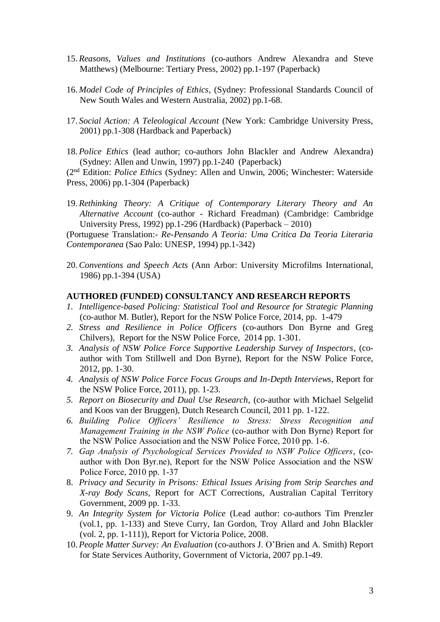- 15. *Reasons, Values and Institutions* (co-authors Andrew Alexandra and Steve Matthews) (Melbourne: Tertiary Press, 2002) pp.1-197 (Paperback)
- 16. *Model Code of Principles of Ethics*, (Sydney: Professional Standards Council of New South Wales and Western Australia, 2002) pp.1-68.
- 17. *Social Action: A Teleological Account* (New York: Cambridge University Press, 2001) pp.1-308 (Hardback and Paperback)
- 18. *Police Ethics* (lead author; co-authors John Blackler and Andrew Alexandra) (Sydney: Allen and Unwin, 1997) pp.1-240 (Paperback)

(2nd Edition: *Police Ethics* (Sydney: Allen and Unwin, 2006; Winchester: Waterside Press, 2006) pp.1-304 (Paperback)

19. *Rethinking Theory: A Critique of Contemporary Literary Theory and An Alternative Account* (co-author - Richard Freadman) (Cambridge: Cambridge University Press, 1992) pp.1-296 (Hardback) (Paperback – 2010)

(Portuguese Translation:- *Re-Pensando A Teoria: Uma Critica Da Teoria Literaria Contemporanea* (Sao Palo: UNESP, 1994) pp.1-342)

20.*Conventions and Speech Acts* (Ann Arbor: University Microfilms International, 1986) pp.1-394 (USA)

#### **AUTHORED (FUNDED) CONSULTANCY AND RESEARCH REPORTS**

- *1. Intelligence-based Policing: Statistical Tool and Resource for Strategic Planning* (co-author M. Butler), Report for the NSW Police Force, 2014, pp. 1-479
- *2. Stress and Resilience in Police Officers* (co-authors Don Byrne and Greg Chilvers), Report for the NSW Police Force, 2014 pp. 1-301.
- *3. Analysis of NSW Police Force Supportive Leadership Survey of Inspectors*, (coauthor with Tom Stillwell and Don Byrne), Report for the NSW Police Force, 2012, pp. 1-30.
- *4. Analysis of NSW Police Force Focus Groups and In-Depth Interviews*, Report for the NSW Police Force, 2011), pp. 1-23.
- *5. Report on Biosecurity and Dual Use Research*, (co-author with Michael Selgelid and Koos van der Bruggen), Dutch Research Council, 2011 pp. 1-122.
- *6. Building Police Officers' Resilience to Stress: Stress Recognition and Management Training in the NSW Police (co-author with Don Byrne) Report for the NSW Police Association and the NSW Police Force, 2010 pp. 1-6.*
- *7. Gap Analysis of Psychological Services Provided to NSW Police Officers, (coauthor with Don Byr.ne), Report for the NSW Police Association and the NSW Police Force, 2010 pp. 1-37*
- 8. *Privacy and Security in Prisons: Ethical Issues Arising from Strip Searches and X-ray Body Scans*, Report for ACT Corrections, Australian Capital Territory Government, 2009 pp. 1-33.
- 9. *An Integrity System for Victoria Police* (Lead author: co-authors Tim Prenzler (vol.1, pp. 1-133) and Steve Curry, Ian Gordon, Troy Allard and John Blackler (vol. 2, pp. 1-111)), Report for Victoria Police, 2008.
- 10. *People Matter Survey: An Evaluation* (co-authors J. O'Brien and A. Smith) Report for State Services Authority, Government of Victoria, 2007 pp.1-49.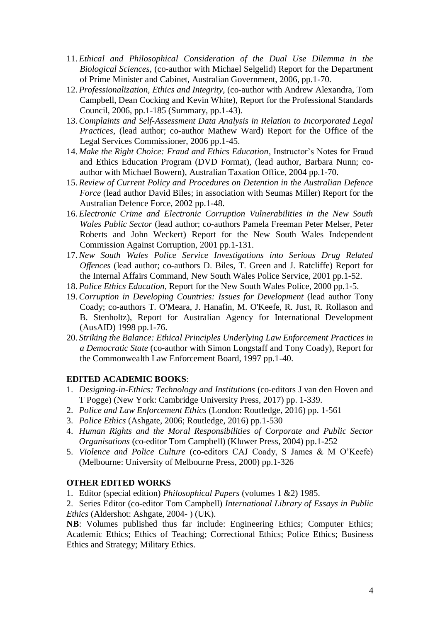- 11. *Ethical and Philosophical Consideration of the Dual Use Dilemma in the Biological Sciences*, (co-author with Michael Selgelid) Report for the Department of Prime Minister and Cabinet, Australian Government, 2006, pp.1-70.
- 12. *Professionalization, Ethics and Integrity*, (co-author with Andrew Alexandra, Tom Campbell, Dean Cocking and Kevin White), Report for the Professional Standards Council, 2006, pp.1-185 (Summary, pp.1-43).
- 13.*Complaints and Self-Assessment Data Analysis in Relation to Incorporated Legal Practices*, (lead author; co-author Mathew Ward) Report for the Office of the Legal Services Commissioner, 2006 pp.1-45.
- 14. *Make the Right Choice: Fraud and Ethics Education*, Instructor's Notes for Fraud and Ethics Education Program (DVD Format), (lead author, Barbara Nunn; coauthor with Michael Bowern), Australian Taxation Office, 2004 pp.1-70.
- 15. *Review of Current Policy and Procedures on Detention in the Australian Defence Force* (lead author David Biles; in association with Seumas Miller) Report for the Australian Defence Force, 2002 pp.1-48.
- 16. *Electronic Crime and Electronic Corruption Vulnerabilities in the New South Wales Public Sector* (lead author; co-authors Pamela Freeman Peter Melser, Peter Roberts and John Weckert) Report for the New South Wales Independent Commission Against Corruption, 2001 pp.1-131.
- 17.*New South Wales Police Service Investigations into Serious Drug Related Offences* (lead author; co-authors D. Biles, T. Green and J. Ratcliffe) Report for the Internal Affairs Command, New South Wales Police Service, 2001 pp.1-52.
- 18. *Police Ethics Education*, Report for the New South Wales Police, 2000 pp.1-5.
- 19.*Corruption in Developing Countries: Issues for Development* (lead author Tony Coady; co-authors T. O'Meara, J. Hanafin, M. O'Keefe, R. Just, R. Rollason and B. Stenholtz), Report for Australian Agency for International Development (AusAID) 1998 pp.1-76.
- 20. *Striking the Balance: Ethical Principles Underlying Law Enforcement Practices in a Democratic State* (co-author with Simon Longstaff and Tony Coady), Report for the Commonwealth Law Enforcement Board, 1997 pp.1-40.

## **EDITED ACADEMIC BOOKS**:

- 1. *Designing-in-Ethics: Technology and Institutions* (co-editors J van den Hoven and T Pogge) (New York: Cambridge University Press, 2017) pp. 1-339.
- 2. *Police and Law Enforcement Ethics* (London: Routledge, 2016) pp. 1-561
- 3. *Police Ethics* (Ashgate, 2006; Routledge, 2016) pp.1-530
- 4. *Human Rights and the Moral Responsibilities of Corporate and Public Sector Organisations* (co-editor Tom Campbell) (Kluwer Press, 2004) pp.1-252
- 5. *Violence and Police Culture* (co-editors CAJ Coady, S James & M O'Keefe) (Melbourne: University of Melbourne Press, 2000) pp.1-326

## **OTHER EDITED WORKS**

- 1. Editor (special edition) *Philosophical Papers* (volumes 1 &2) 1985.
- 2. Series Editor (co-editor Tom Campbell) *International Library of Essays in Public Ethics* (Aldershot: Ashgate, 2004- ) (UK).

**NB**: Volumes published thus far include: Engineering Ethics; Computer Ethics; Academic Ethics; Ethics of Teaching; Correctional Ethics; Police Ethics; Business Ethics and Strategy; Military Ethics.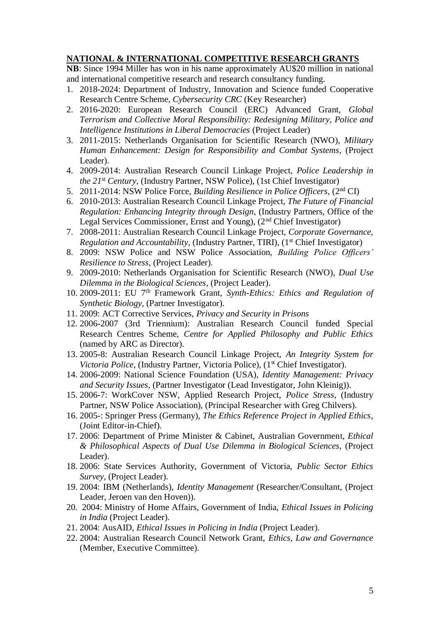# **NATIONAL & INTERNATIONAL COMPETITIVE RESEARCH GRANTS**

**NB**: Since 1994 Miller has won in his name approximately AU\$20 million in national and international competitive research and research consultancy funding.

- 1. 2018-2024: Department of Industry, Innovation and Science funded Cooperative Research Centre Scheme*, Cybersecurity CRC* (Key Researcher)
- 2. 2016-2020: European Research Council (ERC) Advanced Grant, *Global Terrorism and Collective Moral Responsibility: Redesigning Military, Police and Intelligence Institutions in Liberal Democracies* (Project Leader)
- 3. 2011-2015: Netherlands Organisation for Scientific Research (NWO), *Military Human Enhancement: Design for Responsibility and Combat Systems*, (Project Leader).
- 4. 2009-2014: Australian Research Council Linkage Project, *Police Leadership in the 21st Century*, (Industry Partner, NSW Police), (1st Chief Investigator)
- 5. 2011-2014: NSW Police Force, *Building Resilience in Police Officers*, (2<sup>nd</sup> CI)
- 6. 2010-2013: Australian Research Council Linkage Project, *The Future of Financial Regulation: Enhancing Integrity through Design*, (Industry Partners, Office of the Legal Services Commissioner, Ernst and Young), (2nd Chief Investigator)
- 7. 2008-2011: Australian Research Council Linkage Project, *Corporate Governance, Regulation and Accountability*, (Industry Partner, TIRI), (1<sup>st</sup> Chief Investigator)
- 8. 2009: NSW Police and NSW Police Association, *Building Police Officers' Resilience to Stress*, (Project Leader).
- 9. 2009-2010: Netherlands Organisation for Scientific Research (NWO), *Dual Use Dilemma in the Biological Sciences*, (Project Leader).
- 10. 2009-2011: EU 7th Framework Grant, *Synth-Ethics: Ethics and Regulation of Synthetic Biology*, (Partner Investigator).
- 11. 2009: ACT Corrective Services, *Privacy and Security in Prisons*
- 12. 2006-2007 (3rd Triennium): Australian Research Council funded Special Research Centres Scheme, *Centre for Applied Philosophy and Public Ethics* (named by ARC as Director).
- 13. 2005-8: Australian Research Council Linkage Project, *An Integrity System for Victoria Police*, (Industry Partner, Victoria Police), (1<sup>st</sup> Chief Investigator).
- 14. 2006-2009: National Science Foundation (USA), *Identity Management: Privacy and Security Issues*, (Partner Investigator (Lead Investigator, John Kleinig)).
- 15. 2006-7: WorkCover NSW, Applied Research Project, *Police Stress*, (Industry Partner, NSW Police Association), (Principal Researcher with Greg Chilvers).
- 16. 2005-: Springer Press (Germany), *The Ethics Reference Project in Applied Ethics*, (Joint Editor-in-Chief).
- 17. 2006: Department of Prime Minister & Cabinet, Australian Government, *Ethical & Philosophical Aspects of Dual Use Dilemma in Biological Sciences*, (Project Leader).
- 18. 2006: State Services Authority, Government of Victoria, *Public Sector Ethics Survey*, (Project Leader).
- 19. 2004: IBM (Netherlands), *Identity Management* (Researcher/Consultant, (Project Leader, Jeroen van den Hoven)).
- 20. 2004: Ministry of Home Affairs, Government of India, *Ethical Issues in Policing in India* (Project Leader).
- 21. 2004: AusAID, *Ethical Issues in Policing in India* (Project Leader).
- 22. 2004: Australian Research Council Network Grant, *Ethics, Law and Governance* (Member, Executive Committee).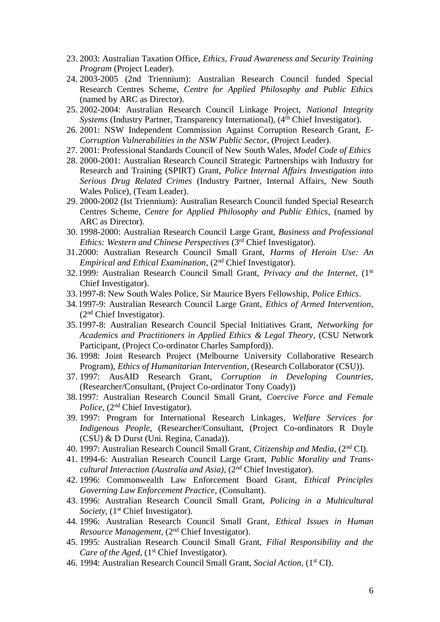- 23. 2003: Australian Taxation Office, *Ethics, Fraud Awareness and Security Training Program* (Project Leader).
- 24. 2003-2005 (2nd Triennium): Australian Research Council funded Special Research Centres Scheme, *Centre for Applied Philosophy and Public Ethics* (named by ARC as Director).
- 25. 2002-2004: Australian Research Council Linkage Project, *National Integrity Systems* (Industry Partner, Transparency International), (4<sup>th</sup> Chief Investigator).
- 26. 2001: NSW Independent Commission Against Corruption Research Grant, *E-Corruption Vulnerabilities in the NSW Public Sector*, (Project Leader).
- 27. 2001: Professional Standards Council of New South Wales, *Model Code of Ethics*
- 28. 2000-2001: Australian Research Council Strategic Partnerships with Industry for Research and Training (SPIRT) Grant, *Police Internal Affairs Investigation into Serious Drug Related Crimes* (Industry Partner, Internal Affairs, New South Wales Police), (Team Leader).
- 29. 2000-2002 (Ist Triennium): Australian Research Council funded Special Research Centres Scheme, *Centre for Applied Philosophy and Public Ethics*, (named by ARC as Director).
- 30. 1998-2000: Australian Research Council Large Grant, *Business and Professional Ethics: Western and Chinese Perspectives* (3rd Chief Investigator).
- 31.2000: Australian Research Council Small Grant, *Harms of Heroin Use: An Empirical and Ethical Examination*, (2nd Chief Investigator).
- 32.1999: Australian Research Council Small Grant, *Privacy and the Internet*, (1st Chief Investigator).
- 33.1997-8: New South Wales Police, Sir Maurice Byers Fellowship, *Police Ethics*.
- 34.1997-9: Australian Research Council Large Grant, *Ethics of Armed Intervention*, (2nd Chief Investigator).
- 35.1997-8: Australian Research Council Special Initiatives Grant, *Networking for Academics and Practitioners in Applied Ethics & Legal Theory*, (CSU Network Participant, (Project Co-ordinator Charles Sampford)).
- 36. 1998: Joint Research Project (Melbourne University Collaborative Research Program), *Ethics of Humanitarian Intervention*, (Research Collaborator (CSU)).
- 37. 1997: AusAID Research Grant, *Corruption in Developing Countries*, (Researcher/Consultant, (Project Co-ordinator Tony Coady))
- 38.1997: Australian Research Council Small Grant, *Coercive Force and Female Police*, (2<sup>nd</sup> Chief Investigator).
- 39. 1997: Program for International Research Linkages, *Welfare Services for Indigenous People*, (Researcher/Consultant, (Project Co-ordinators R Doyle (CSU) & D Durst (Uni. Regina, Canada)).
- 40. 1997: Australian Research Council Small Grant, *Citizenship and Media*, (2nd CI).
- 41. 1994-6: Australian Research Council Large Grant, *Public Morality and Transcultural Interaction (Australia and Asia)*, (2nd Chief Investigator).
- 42. 1996: Commonwealth Law Enforcement Board Grant, *Ethical Principles Governing Law Enforcement Practice*, (Consultant).
- 43. 1996: Australian Research Council Small Grant, *Policing in a Multicultural Society*, (1<sup>st</sup> Chief Investigator).
- 44. 1996: Australian Research Council Small Grant*, Ethical Issues in Human Resource Management*, (2nd Chief Investigator).
- 45. 1995: Australian Research Council Small Grant, *Filial Responsibility and the Care of the Aged*, (1<sup>st</sup> Chief Investigator).
- 46. 1994: Australian Research Council Small Grant, *Social Action*, (1st CI).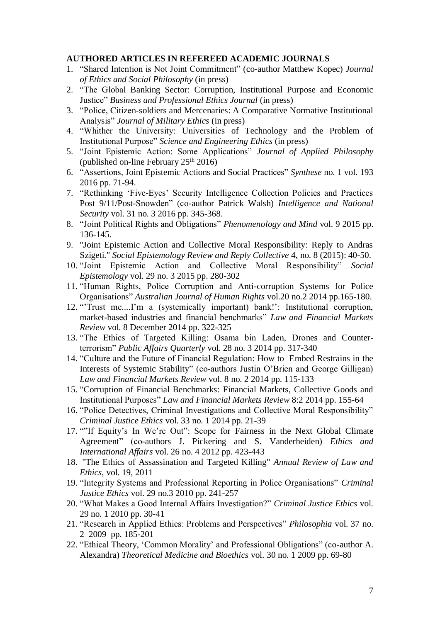#### **AUTHORED ARTICLES IN REFEREED ACADEMIC JOURNALS**

- 1. "Shared Intention is Not Joint Commitment" (co-author Matthew Kopec) *Journal of Ethics and Social Philosophy* (in press)
- 2. "The Global Banking Sector: Corruption, Institutional Purpose and Economic Justice" *Business and Professional Ethics Journal* (in press)
- 3. "Police, Citizen-soldiers and Mercenaries: A Comparative Normative Institutional Analysis" *Journal of Military Ethics* (in press)
- 4. "Whither the University: Universities of Technology and the Problem of Institutional Purpose" *Science and Engineering Ethics* (in press)
- 5. "Joint Epistemic Action: Some Applications" *Journal of Applied Philosophy* (published on-line February  $25<sup>th</sup> 2016$ )
- 6. "Assertions, Joint Epistemic Actions and Social Practices" *Synthese* no. 1 vol. 193 2016 pp. 71-94.
- 7. "Rethinking 'Five-Eyes' Security Intelligence Collection Policies and Practices Post 9/11/Post-Snowden" (co-author Patrick Walsh) *Intelligence and National Security* vol. 31 no. 3 2016 pp. 345-368.
- 8. "Joint Political Rights and Obligations" *Phenomenology and Mind* vol. 9 2015 pp. 136-145.
- 9. "Joint Epistemic Action and Collective Moral Responsibility: Reply to Andras Szigeti." *Social Epistemology Review and Reply Collective* 4, no. 8 (2015): 40-50.
- 10. "Joint Epistemic Action and Collective Moral Responsibility" *Social Epistemology* vol. 29 no. 3 2015 pp. 280-302
- 11. "Human Rights, Police Corruption and Anti-corruption Systems for Police Organisations" *Australian Journal of Human Rights* vol.20 no.2 2014 pp.165-180.
- 12. "'Trust me....I'm a (systemically important) bank!': Institutional corruption, market-based industries and financial benchmarks" *Law and Financial Markets Review* vol. 8 December 2014 pp. 322-325
- 13. "The Ethics of Targeted Killing: Osama bin Laden, Drones and Counterterrorism" *Public Affairs Quarterly* vol. 28 no. 3 2014 pp. 317-340
- 14. "Culture and the Future of Financial Regulation: How to Embed Restrains in the Interests of Systemic Stability" (co-authors Justin O'Brien and George Gilligan) *Law and Financial Markets Review* vol. 8 no. 2 2014 pp. 115-133
- 15. "Corruption of Financial Benchmarks: Financial Markets, Collective Goods and Institutional Purposes" *Law and Financial Markets Review* 8:2 2014 pp. 155-64
- 16. "Police Detectives, Criminal Investigations and Collective Moral Responsibility" *Criminal Justice Ethics* vol. 33 no. 1 2014 pp. 21-39
- 17. ""If Equity's In We're Out": Scope for Fairness in the Next Global Climate Agreement" (co-authors J. Pickering and S. Vanderheiden) *Ethics and International Affairs* vol. 26 no. 4 2012 pp. 423-443
- 18. "The Ethics of Assassination and Targeted Killing" *Annual Review of Law and Ethics*, vol. 19, 2011
- 19. "Integrity Systems and Professional Reporting in Police Organisations" *Criminal Justice Ethics* vol. 29 no.3 2010 pp. 241-257
- 20. "What Makes a Good Internal Affairs Investigation?" *Criminal Justice Ethics* vol. 29 no. 1 2010 pp. 30-41
- 21. "Research in Applied Ethics: Problems and Perspectives" *Philosophia* vol. 37 no. 2 2009 pp. 185-201
- 22. "Ethical Theory, 'Common Morality' and Professional Obligations" (co-author A. Alexandra) *Theoretical Medicine and Bioethics* vol. 30 no. 1 2009 pp. 69-80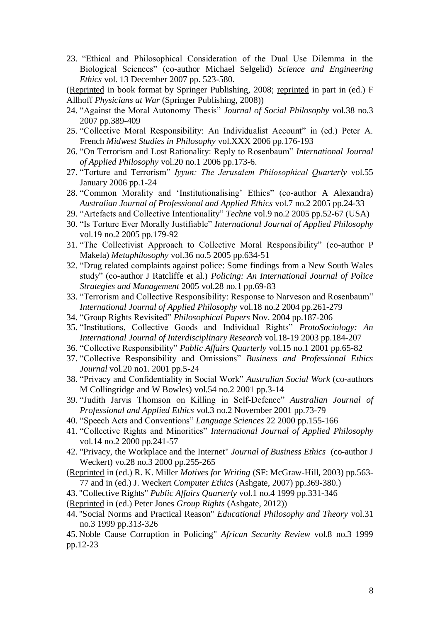23. "Ethical and Philosophical Consideration of the Dual Use Dilemma in the Biological Sciences" (co-author Michael Selgelid) *Science and Engineering Ethics* vol. 13 December 2007 pp. 523-580.

(Reprinted in book format by Springer Publishing, 2008; reprinted in part in (ed.) F Allhoff *Physicians at War* (Springer Publishing, 2008))

- 24. "Against the Moral Autonomy Thesis" *Journal of Social Philosophy* vol.38 no.3 2007 pp.389-409
- 25. "Collective Moral Responsibility: An Individualist Account" in (ed.) Peter A. French *Midwest Studies in Philosophy* vol.XXX 2006 pp.176-193
- 26. "On Terrorism and Lost Rationality: Reply to Rosenbaum" *International Journal of Applied Philosophy* vol.20 no.1 2006 pp.173-6.
- 27. "Torture and Terrorism*" Iyyun: The Jerusalem Philosophical Quarterly* vol.55 January 2006 pp.1-24
- 28. "Common Morality and 'Institutionalising' Ethics" (co-author A Alexandra) *Australian Journal of Professional and Applied Ethics* vol.7 no.2 2005 pp.24-33
- 29. "Artefacts and Collective Intentionality" *Techne* vol.9 no.2 2005 pp.52-67 (USA)
- 30. "Is Torture Ever Morally Justifiable" *International Journal of Applied Philosophy* vol.19 no.2 2005 pp.179-92
- 31. "The Collectivist Approach to Collective Moral Responsibility" (co-author P Makela) *Metaphilosophy* vol.36 no.5 2005 pp.634-51
- 32. "Drug related complaints against police: Some findings from a New South Wales study" (co-author J Ratcliffe et al.) *Policing: An International Journal of Police Strategies and Management* 2005 vol.28 no.1 pp.69-83
- 33. "Terrorism and Collective Responsibility: Response to Narveson and Rosenbaum" *International Journal of Applied Philosophy* vol.18 no.2 2004 pp.261-279
- 34. "Group Rights Revisited" *Philosophical Papers* Nov. 2004 pp.187-206
- 35. "Institutions, Collective Goods and Individual Rights" *ProtoSociology: An International Journal of Interdisciplinary Research* vol.18-19 2003 pp.184-207
- 36. "Collective Responsibility" *Public Affairs Quarterly* vol.15 no.1 2001 pp.65-82
- 37. "Collective Responsibility and Omissions" *Business and Professional Ethics Journal* vol.20 no1. 2001 pp.5-24
- 38. "Privacy and Confidentiality in Social Work" *Australian Social Work* (co-authors M Collingridge and W Bowles) vol.54 no.2 2001 pp.3-14
- 39. "Judith Jarvis Thomson on Killing in Self-Defence" *Australian Journal of Professional and Applied Ethics* vol.3 no.2 November 2001 pp.73-79
- 40. "Speech Acts and Conventions" *Language Sciences* 22 2000 pp.155-166
- 41. "Collective Rights and Minorities" *International Journal of Applied Philosophy* vol.14 no.2 2000 pp.241-57
- 42. "Privacy, the Workplace and the Internet" *Journal of Business Ethics* (co-author J Weckert) vo.28 no.3 2000 pp.255-265
- (Reprinted in (ed.) R. K. Miller *Motives for Writing* (SF: McGraw-Hill, 2003) pp.563- 77 and in (ed.) J. Weckert *Computer Ethics* (Ashgate, 2007) pp.369-380.)
- 43. "Collective Rights" *Public Affairs Quarterly* vol.1 no.4 1999 pp.331-346
- (Reprinted in (ed.) Peter Jones *Group Rights* (Ashgate, 2012))
- 44. "Social Norms and Practical Reason" *Educational Philosophy and Theory* vol.31 no.3 1999 pp.313-326

45. Noble Cause Corruption in Policing" *African Security Review* vol.8 no.3 1999 pp.12-23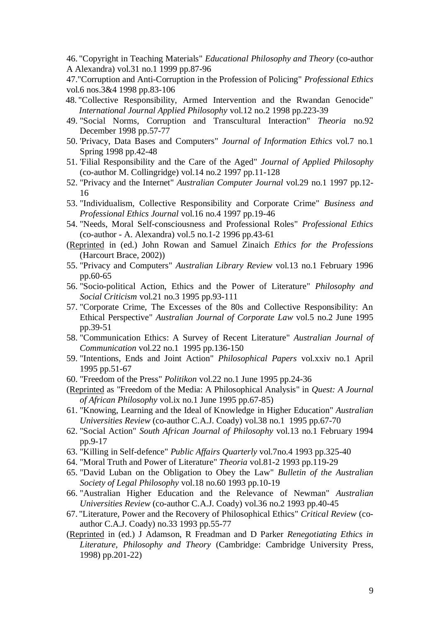46. "Copyright in Teaching Materials" *Educational Philosophy and Theory* (co-author A Alexandra) vol.31 no.1 1999 pp.87-96

47."Corruption and Anti-Corruption in the Profession of Policing" *Professional Ethics*  vol.6 nos.3&4 1998 pp.83-106

- 48. "Collective Responsibility, Armed Intervention and the Rwandan Genocide" *International Journal Applied Philosophy* vol.12 no.2 1998 pp.223-39
- 49. "Social Norms, Corruption and Transcultural Interaction" *Theoria* no.92 December 1998 pp.57-77
- 50. 'Privacy, Data Bases and Computers" *Journal of Information Ethics* vol.7 no.1 Spring 1998 pp.42-48
- 51. 'Filial Responsibility and the Care of the Aged" *Journal of Applied Philosophy* (co-author M. Collingridge) vol.14 no.2 1997 pp.11-128
- 52. "Privacy and the Internet" *Australian Computer Journal* vol.29 no.1 1997 pp.12- 16
- 53. "Individualism, Collective Responsibility and Corporate Crime" *Business and Professional Ethics Journal* vol.16 no.4 1997 pp.19-46
- 54. "Needs, Moral Self-consciousness and Professional Roles" *Professional Ethics* (co-author - A. Alexandra) vol.5 no.1-2 1996 pp.43-61
- (Reprinted in (ed.) John Rowan and Samuel Zinaich *Ethics for the Professions* (Harcourt Brace, 2002))
- 55. "Privacy and Computers" *Australian Library Review* vol.13 no.1 February 1996 pp.60-65
- 56. "Socio-political Action, Ethics and the Power of Literature" *Philosophy and Social Criticism* vol.21 no.3 1995 pp.93-111
- 57. "Corporate Crime, The Excesses of the 80s and Collective Responsibility: An Ethical Perspective" *Australian Journal of Corporate Law* vol.5 no.2 June 1995 pp.39-51
- 58. "Communication Ethics: A Survey of Recent Literature" *Australian Journal of Communication* vol.22 no.1 1995 pp.136-150
- 59. "Intentions, Ends and Joint Action" *Philosophical Papers* vol.xxiv no.1 April 1995 pp.51-67
- 60. "Freedom of the Press" *Politikon* vol.22 no.1 June 1995 pp.24-36
- (Reprinted as "Freedom of the Media: A Philosophical Analysis" in *Quest: A Journal of African Philosophy* vol.ix no.1 June 1995 pp.67-85)
- 61. "Knowing, Learning and the Ideal of Knowledge in Higher Education" *Australian Universities Review* (co-author C.A.J. Coady) vol.38 no.1 1995 pp.67-70
- 62. "Social Action" *South African Journal of Philosophy* vol.13 no.1 February 1994 pp.9-17
- 63. "Killing in Self-defence" *Public Affairs Quarterly* vol.7no.4 1993 pp.325-40
- 64. "Moral Truth and Power of Literature" *Theoria* vol.81-2 1993 pp.119-29
- 65. "David Luban on the Obligation to Obey the Law" *Bulletin of the Australian Society of Legal Philosophy* vol.18 no.60 1993 pp.10-19
- 66. "Australian Higher Education and the Relevance of Newman" *Australian Universities Review* (co-author C.A.J. Coady) vol.36 no.2 1993 pp.40-45
- 67. "Literature, Power and the Recovery of Philosophical Ethics" *Critical Review* (coauthor C.A.J. Coady) no.33 1993 pp.55-77
- (Reprinted in (ed.) J Adamson, R Freadman and D Parker *Renegotiating Ethics in Literature, Philosophy and Theory* (Cambridge: Cambridge University Press, 1998) pp.201-22)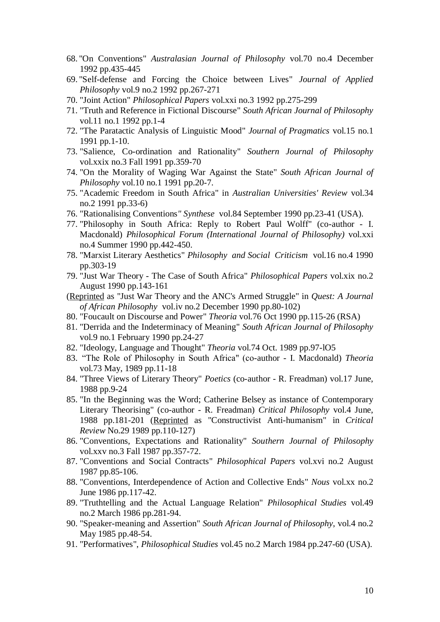- 68. "On Conventions" *Australasian Journal of Philosophy* vol.70 no.4 December 1992 pp.435-445
- 69. "Self-defense and Forcing the Choice between Lives" *Journal of Applied Philosophy* vol.9 no.2 1992 pp.267-271
- 70. "Joint Action" *Philosophical Papers* vol.xxi no.3 1992 pp.275-299
- 71. "Truth and Reference in Fictional Discourse" *South African Journal of Philosophy* vol.11 no.1 1992 pp.1-4
- 72. "The Paratactic Analysis of Linguistic Mood" *Journal of Pragmatics* vol.15 no.1 1991 pp.1-10.
- 73. "Salience, Co-ordination and Rationality" *Southern Journal of Philosophy* vol.xxix no.3 Fall 1991 pp.359-70
- 74. "On the Morality of Waging War Against the State" *South African Journal of Philosophy* vol.10 no.1 1991 pp.20-7.
- 75. "Academic Freedom in South Africa" in *Australian Universities' Review* vol.34 no.2 1991 pp.33-6)
- 76. "Rationalising Conventions*" Synthese* vol.84 September 1990 pp.23-41 (USA).
- 77. "Philosophy in South Africa: Reply to Robert Paul Wolff" (co-author I. Macdonald) *Philosophical Forum (International Journal of Philosophy)* vol.xxi no.4 Summer 1990 pp.442-450.
- 78. "Marxist Literary Aesthetics" *Philosophy and Social Criticism* vol.16 no.4 1990 pp.303-19
- 79. "Just War Theory The Case of South Africa" *Philosophical Papers* vol.xix no.2 August 1990 pp.143-161
- (Reprinted as "Just War Theory and the ANC's Armed Struggle" in *Quest: A Journal of African Philosophy* vol.iv no.2 December 1990 pp.80-102)
- 80. "Foucault on Discourse and Power" *Theoria* vol.76 Oct 1990 pp.115-26 (RSA)
- 81. "Derrida and the Indeterminacy of Meaning" *South African Journal of Philosophy* vol.9 no.1 February 1990 pp.24-27
- 82. "Ideology, Language and Thought" *Theoria* vol.74 Oct. 1989 pp.97-lO5
- 83. "The Role of Philosophy in South Africa" (co-author I. Macdonald) *Theoria* vol.73 May, 1989 pp.11-18
- 84. "Three Views of Literary Theory" *Poetics* (co-author R. Freadman) vol.17 June, 1988 pp.9-24
- 85. "In the Beginning was the Word; Catherine Belsey as instance of Contemporary Literary Theorising" (co-author - R. Freadman) *Critical Philosophy* vol.4 June, 1988 pp.181-201 (Reprinted as "Constructivist Anti-humanism" in *Critical Review* No.29 1989 pp.110-127)
- 86. "Conventions, Expectations and Rationality" *Southern Journal of Philosophy* vol.xxv no.3 Fall 1987 pp.357-72.
- 87. "Conventions and Social Contracts" *Philosophical Papers* vol.xvi no.2 August 1987 pp.85-106.
- 88. "Conventions, Interdependence of Action and Collective Ends" *Nous* vol.xx no.2 June 1986 pp.117-42.
- 89. "Truthtelling and the Actual Language Relation" *Philosophical Studies* vol.49 no.2 March 1986 pp.281-94.
- 90. "Speaker-meaning and Assertion" *South African Journal of Philosophy*, vol.4 no.2 May 1985 pp.48-54.
- 91. "Performatives", *Philosophical Studies* vol.45 no.2 March 1984 pp.247-60 (USA).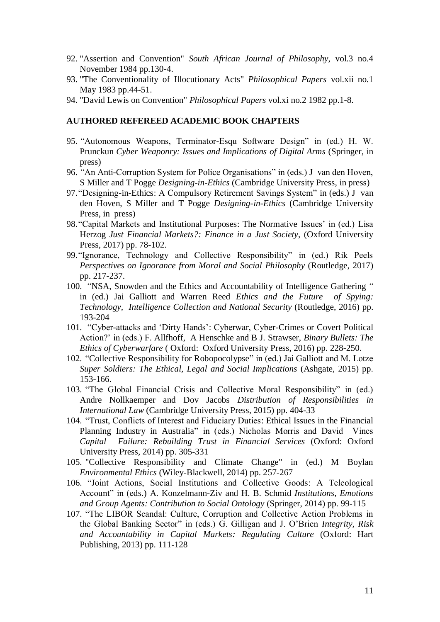- 92. "Assertion and Convention" *South African Journal of Philosophy*, vol.3 no.4 November 1984 pp.130-4.
- 93. "The Conventionality of Illocutionary Acts" *Philosophical Papers* vol.xii no.1 May 1983 pp.44-51.
- 94. "David Lewis on Convention" *Philosophical Papers* vol.xi no.2 1982 pp.1-8.

#### **AUTHORED REFEREED ACADEMIC BOOK CHAPTERS**

- 95. "Autonomous Weapons, Terminator-Esqu Software Design" in (ed.) H. W. Prunckun *Cyber Weaponry: Issues and Implications of Digital Arms* (Springer, in press)
- 96. "An Anti-Corruption System for Police Organisations" in (eds.) J van den Hoven, S Miller and T Pogge *Designing-in-Ethics* (Cambridge University Press, in press)
- 97."Designing-in-Ethics: A Compulsory Retirement Savings System" in (eds.) J van den Hoven, S Miller and T Pogge *Designing-in-Ethics* (Cambridge University Press, in press)
- 98."Capital Markets and Institutional Purposes: The Normative Issues' in (ed.) Lisa Herzog *Just Financial Markets?: Finance in a Just Society*, (Oxford University Press, 2017) pp. 78-102.
- 99."Ignorance, Technology and Collective Responsibility" in (ed.) Rik Peels *Perspectives on Ignorance from Moral and Social Philosophy* (Routledge, 2017) pp. 217-237.
- 100. "NSA, Snowden and the Ethics and Accountability of Intelligence Gathering " in (ed.) Jai Galliott and Warren Reed *Ethics and the Future of Spying: Technology, Intelligence Collection and National Security* (Routledge, 2016) pp. 193-204
- 101. "Cyber-attacks and 'Dirty Hands': Cyberwar, Cyber-Crimes or Covert Political Action?' in (eds.) F. Allfhoff, A Henschke and B J. Strawser, *Binary Bullets: The Ethics of Cyberwarfare* ( Oxford: Oxford University Press, 2016) pp. 228-250.
- 102. "Collective Responsibility for Robopocolypse" in (ed.) Jai Galliott and M. Lotze *Super Soldiers: The Ethical, Legal and Social Implications* (Ashgate, 2015) pp. 153-166.
- 103. "The Global Financial Crisis and Collective Moral Responsibility" in (ed.) Andre Nollkaemper and Dov Jacobs *Distribution of Responsibilities in International Law* (Cambridge University Press, 2015) pp. 404-33
- 104. "Trust, Conflicts of Interest and Fiduciary Duties: Ethical Issues in the Financial Planning Industry in Australia" in (eds.) Nicholas Morris and David Vines *Capital Failure: Rebuilding Trust in Financial Services* (Oxford: Oxford University Press, 2014) pp. 305-331
- 105. "Collective Responsibility and Climate Change" in (ed.) M Boylan *Environmental Ethics* (Wiley-Blackwell, 2014) pp. 257-267
- 106. "Joint Actions, Social Institutions and Collective Goods: A Teleological Account" in (eds.) A. Konzelmann-Ziv and H. B. Schmid *Institutions, Emotions and Group Agents: Contribution to Social Ontology* (Springer, 2014) pp. 99-115
- 107. "The LIBOR Scandal: Culture, Corruption and Collective Action Problems in the Global Banking Sector" in (eds.) G. Gilligan and J. O'Brien *Integrity, Risk and Accountability in Capital Markets: Regulating Culture* (Oxford: Hart Publishing, 2013) pp. 111-128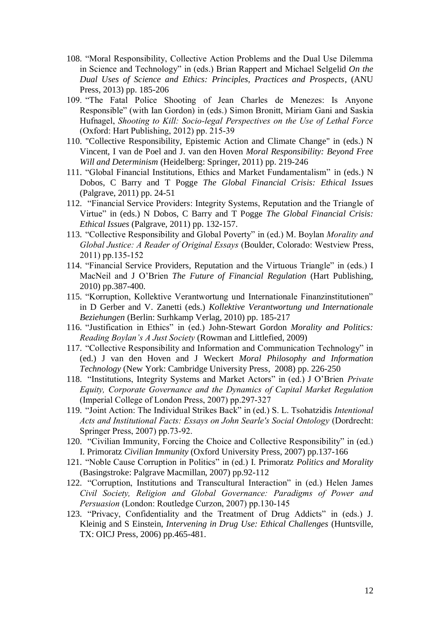- 108. "Moral Responsibility, Collective Action Problems and the Dual Use Dilemma in Science and Technology" in (eds.) Brian Rappert and Michael Selgelid *On the Dual Uses of Science and Ethics: Principles, Practices and Prospects*, (ANU Press, 2013) pp. 185-206
- *109.* "The Fatal Police Shooting of Jean Charles de Menezes: Is Anyone Responsible" (with Ian Gordon) in (eds.) *Simon Bronitt, Miriam Gani and Saskia Hufnagel, Shooting to Kill: Socio-legal Perspectives on the Use of Lethal Force (Oxford: Hart Publishing, 2012) pp. 215-39*
- 110. "Collective Responsibility, Epistemic Action and Climate Change" in (eds.) N Vincent, I van de Poel and J. van den Hoven *Moral Responsibility: Beyond Free Will and Determinism* (Heidelberg: Springer, 2011) pp. 219-246
- 111. "Global Financial Institutions, Ethics and Market Fundamentalism" in (eds.) N Dobos, C Barry and T Pogge *The Global Financial Crisis: Ethical Issues* (Palgrave, 2011) pp. 24-51
- 112. "Financial Service Providers: Integrity Systems, Reputation and the Triangle of Virtue" in (eds.) N Dobos, C Barry and T Pogge *The Global Financial Crisis: Ethical Issues* (Palgrave, 2011) pp. 132-157.
- 113. *"Collective Responsibility and Global Poverty" in (ed.) M. Boylan Morality and Global Justice: A Reader of Original Essays (Boulder, Colorado: Westview Press, 2011) pp.135-152*
- 114. "Financial Service Providers, Reputation and the Virtuous Triangle" in (eds.) I MacNeil and J O'Brien *The Future of Financial Regulation* (Hart Publishing, 2010) pp.387-400.
- 115. "Korruption, Kollektive Verantwortung und Internationale Finanzinstitutionen" in D Gerber and V. Zanetti (eds.) *Kollektive Verantwortung und Internationale Beziehungen* (Berlin: Surhkamp Verlag, 2010) pp. 185-217
- 116. "Justification in Ethics" in (ed.) John-Stewart Gordon *Morality and Politics: Reading Boylan's A Just Society* (Rowman and Littlefied, 2009)
- 117. "Collective Responsibility and Information and Communication Technology" in (ed.) J van den Hoven and J Weckert *Moral Philosophy and Information Technology* (New York: Cambridge University Press, 2008) pp. 226-250
- 118. *"Institutions, Integrity Systems and Market Actors" in (ed.) J O'Brien Private Equity, Corporate Governance and the Dynamics of Capital Market Regulation (Imperial College of London Press, 2007) pp.297-327*
- 119. *"Joint Action: The Individual Strikes Back" in (ed.) S. L. Tsohatzidis Intentional Acts and Institutional Facts: Essays on John Searle's Social Ontology (Dordrecht: Springer Press, 2007) pp.73-92.*
- 120. "Civilian Immunity, Forcing the Choice and Collective Responsibility" in (ed.) I. Primoratz *Civilian Immunity* (Oxford University Press, 2007) pp.137-166
- 121. "Noble Cause Corruption in Politics" in (ed.) I. Primoratz *Politics and Morality* (Basingstroke: Palgrave Macmillan, 2007) pp.92-112
- 122. *"Corruption, Institutions and Transcultural Interaction" in (ed.) Helen James Civil Society, Religion and Global Governance: Paradigms of Power and Persuasion (London: Routledge Curzon, 2007) pp.130-145*
- 123. "Privacy, Confidentiality and the Treatment of Drug Addicts" in (eds.) J. Kleinig and S Einstein, *Intervening in Drug Use: Ethical Challenges* (Huntsville, TX: OICJ Press, 2006) pp.465-481.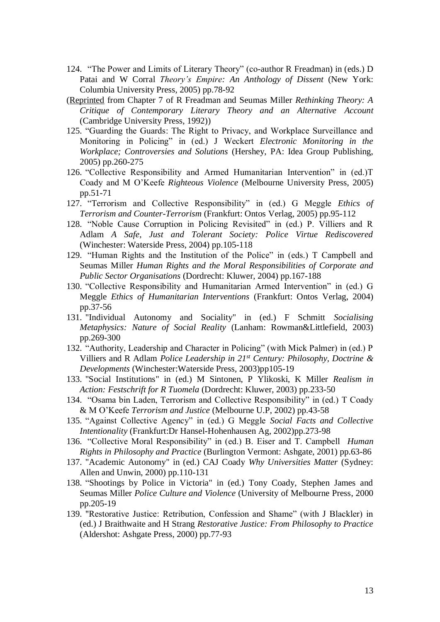- 124. "The Power and Limits of Literary Theory" (co-author R Freadman) in (eds.) D Patai and W Corral *Theory's Empire: An Anthology of Dissent* (New York: Columbia University Press, 2005) pp.78-92
- (Reprinted from Chapter 7 of R Freadman and Seumas Miller *Rethinking Theory: A Critique of Contemporary Literary Theory and an Alternative Account* (Cambridge University Press, 1992))
- 125. "Guarding the Guards: The Right to Privacy, and Workplace Surveillance and Monitoring in Policing" in (ed.) J Weckert *Electronic Monitoring in the Workplace; Controversies and Solutions* (Hershey, PA: Idea Group Publishing, 2005) pp.260-275
- 126. "Collective Responsibility and Armed Humanitarian Intervention" in (ed.)T Coady and M O'Keefe *Righteous Violence* (Melbourne University Press, 2005) pp.51-71
- 127. "Terrorism and Collective Responsibility" in (ed.) G Meggle *Ethics of Terrorism and Counter-Terrorism* (Frankfurt: Ontos Verlag, 2005) pp.95-112
- 128. "Noble Cause Corruption in Policing Revisited" in (ed.) P. Villiers and R Adlam *A Safe, Just and Tolerant Society: Police Virtue Rediscovered* (Winchester: Waterside Press, 2004) pp.105-118
- 129. "Human Rights and the Institution of the Police" in (eds.) T Campbell and Seumas Miller *Human Rights and the Moral Responsibilities of Corporate and Public Sector Organisations* (Dordrecht: Kluwer, 2004) pp.167-188
- 130. "Collective Responsibility and Humanitarian Armed Intervention" in (ed.) G Meggle *Ethics of Humanitarian Interventions* (Frankfurt: Ontos Verlag, 2004) pp.37-56
- 131. "Individual Autonomy and Sociality" in (ed.) F Schmitt *Socialising Metaphysics: Nature of Social Reality* (Lanham: Rowman&Littlefield, 2003) pp.269-300
- 132. "Authority, Leadership and Character in Policing" (with Mick Palmer) in (ed.) P Villiers and R Adlam *Police Leadership in 21st Century: Philosophy, Doctrine & Developments* (Winchester:Waterside Press, 2003)pp105-19
- 133. "Social Institutions" in (ed.) M Sintonen, P Ylikoski, K Miller *Realism in Action: Festschrift for R Tuomela* (Dordrecht: Kluwer, 2003) pp.233-50
- 134. "Osama bin Laden, Terrorism and Collective Responsibility" in (ed.) T Coady & M O'Keefe *Terrorism and Justice* (Melbourne U.P, 2002) pp.43-58
- 135. "Against Collective Agency" in (ed.) G Meggle *Social Facts and Collective Intentionality* (Frankfurt:Dr Hansel-Hohenhausen Ag, 2002)pp.273-98
- 136. "Collective Moral Responsibility" in (ed.) B. Eiser and T. Campbell *Human Rights in Philosophy and Practice* (Burlington Vermont: Ashgate, 2001) pp.63-86
- 137. "Academic Autonomy" in (ed.) CAJ Coady *Why Universities Matter* (Sydney: Allen and Unwin, 2000) pp.110-131
- 138. "Shootings by Police in Victoria" in (ed.) Tony Coady, Stephen James and Seumas Miller *Police Culture and Violence* (University of Melbourne Press, 2000 pp.205-19
- 139. "Restorative Justice: Retribution, Confession and Shame" (with J Blackler) in (ed.) J Braithwaite and H Strang *Restorative Justice: From Philosophy to Practice* (Aldershot: Ashgate Press, 2000) pp.77-93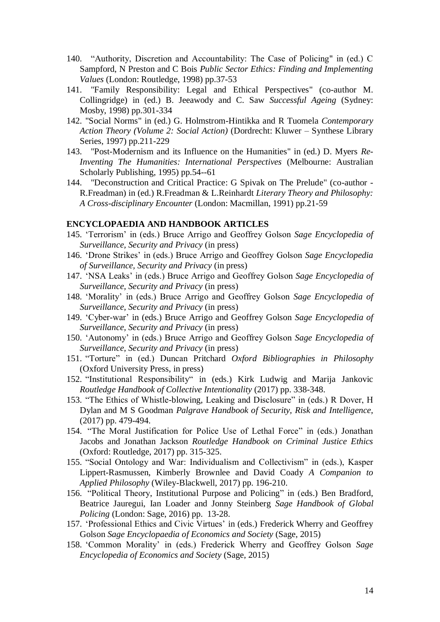- 140. "Authority, Discretion and Accountability: The Case of Policing" in (ed.) C Sampford, N Preston and C Bois *Public Sector Ethics: Finding and Implementing Values* (London: Routledge, 1998) pp.37-53
- 141. "Family Responsibility: Legal and Ethical Perspectives" (co-author M. Collingridge) in (ed.) B. Jeeawody and C. Saw *Successful Ageing* (Sydney: Mosby, 1998) pp.301-334
- 142. "Social Norms" in (ed.) G. Holmstrom-Hintikka and R Tuomela *Contemporary Action Theory (Volume 2: Social Action)* (Dordrecht: Kluwer – Synthese Library Series, 1997) pp.211-229
- 143. "Post-Modernism and its Influence on the Humanities" in (ed.) D. Myers *Re-Inventing The Humanities: International Perspectives* (Melbourne: Australian Scholarly Publishing, 1995) pp.54--61
- 144. "Deconstruction and Critical Practice: G Spivak on The Prelude" (co-author R.Freadman) in (ed.) R.Freadman & L.Reinhardt *Literary Theory and Philosophy: A Cross-disciplinary Encounter* (London: Macmillan, 1991) pp.21-59

#### **ENCYCLOPAEDIA AND HANDBOOK ARTICLES**

- 145. 'Terrorism' in (eds.) Bruce Arrigo and Geoffrey Golson *Sage Encyclopedia of Surveillance, Security and Privacy* (in press)
- 146. 'Drone Strikes' in (eds.) Bruce Arrigo and Geoffrey Golson *Sage Encyclopedia of Surveillance, Security and Privacy* (in press)
- 147. 'NSA Leaks' in (eds.) Bruce Arrigo and Geoffrey Golson *Sage Encyclopedia of Surveillance, Security and Privacy* (in press)
- 148. 'Morality' in (eds.) Bruce Arrigo and Geoffrey Golson *Sage Encyclopedia of Surveillance, Security and Privacy* (in press)
- 149. 'Cyber-war' in (eds.) Bruce Arrigo and Geoffrey Golson *Sage Encyclopedia of Surveillance, Security and Privacy* (in press)
- 150. 'Autonomy' in (eds.) Bruce Arrigo and Geoffrey Golson *Sage Encyclopedia of Surveillance, Security and Privacy* (in press)
- 151. "Torture" in (ed.) Duncan Pritchard *Oxford Bibliographies in Philosophy* (Oxford University Press, in press)
- 152. "Institutional Responsibility" in (eds.) Kirk Ludwig and Marija Jankovic *Routledge Handbook of Collective Intentionality* (2017) pp. 338-348.
- 153. "The Ethics of Whistle-blowing, Leaking and Disclosure" in (eds.) R Dover, H Dylan and M S Goodman *Palgrave Handbook of Security, Risk and Intelligence*, (2017) pp. 479-494.
- 154. "The Moral Justification for Police Use of Lethal Force" in (eds.) Jonathan Jacobs and Jonathan Jackson *Routledge Handbook on Criminal Justice Ethics* (Oxford: Routledge, 2017) pp. 315-325.
- 155. "Social Ontology and War: Individualism and Collectivism" in (eds.), Kasper Lippert-Rasmussen, Kimberly Brownlee and David Coady *A Companion to Applied Philosophy* (Wiley-Blackwell, 2017) pp. 196-210.
- 156. "Political Theory, Institutional Purpose and Policing" in (eds.) Ben Bradford, Beatrice Jauregui, Ian Loader and Jonny Steinberg *Sage Handbook of Global Policing* (London: Sage, 2016) pp. 13-28.
- 157. 'Professional Ethics and Civic Virtues' in (eds.) Frederick Wherry and Geoffrey Golson *Sage Encyclopaedia of Economics and Society* (Sage, 2015)
- 158. 'Common Morality' in (eds.) Frederick Wherry and Geoffrey Golson *Sage Encyclopedia of Economics and Society* (Sage, 2015)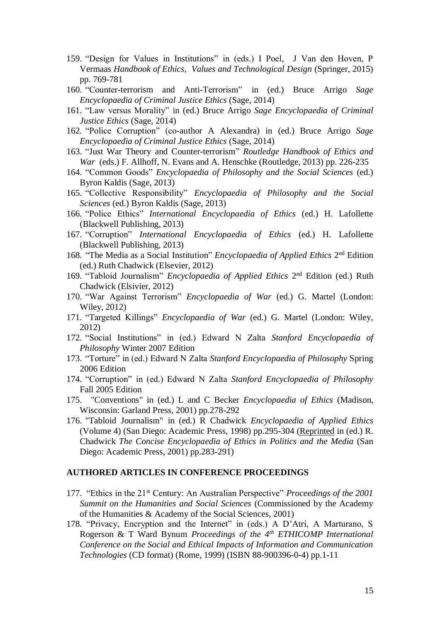- 159. "Design for Values in Institutions" in (eds.) I Poel, J Van den Hoven, P Vermaas *Handbook of Ethics, Values and Technological Design* (Springer, 2015) pp. 769-781
- 160. "Counter-terrorism and Anti-Terrorism" in (ed.) Bruce Arrigo *Sage Encyclopaedia of Criminal Justice Ethics* (Sage, 2014)
- 161. "Law versus Morality" in (ed.) Bruce Arrigo *Sage Encyclopaedia of Criminal Justice Ethics* (Sage, 2014)
- 162. "Police Corruption" (co-author A Alexandra) in (ed.) Bruce Arrigo *Sage Encyclopaedia of Criminal Justice Ethics* (Sage, 2014)
- 163. "Just War Theory and Counter-terrorism" *Routledge Handbook of Ethics and War* (eds.) F. Allhoff, N. Evans and A. Henschke (Routledge, 2013) pp. 226-235
- 164. "Common Goods" *Encyclopaedia of Philosophy and the Social Sciences* (ed.) Byron Kaldis (Sage, 2013)
- 165. "Collective Responsibility" *Encyclopaedia of Philosophy and the Social Sciences* (ed.) Byron Kaldis (Sage, 2013)
- 166. "Police Ethics" *International Encyclopaedia of Ethics* (ed.) H. Lafollette (Blackwell Publishing, 2013)
- 167. "Corruption" *International Encyclopaedia of Ethics* (ed.) H. Lafollette (Blackwell Publishing, 2013)
- 168. "The Media as a Social Institution" *Encyclopaedia of Applied Ethics* 2<sup>nd</sup> Edition (ed.) Ruth Chadwick (Elsevier, 2012)
- 169. "Tabloid Journalism" *Encyclopaedia of Applied Ethics* 2<sup>nd</sup> Edition (ed.) Ruth Chadwick (Elsivier, 2012)
- 170. "War Against Terrorism" *Encyclopaedia of War* (ed.) G. Martel (London: Wiley, 2012)
- 171. "Targeted Killings" *Encyclopaedia of War* (ed.) G. Martel (London: Wiley, 2012)
- 172. "Social Institutions" in (ed.) Edward N Zalta *Stanford Encyclopaedia of Philosophy* Winter 2007 Edition
- 173. "Torture" in (ed.) Edward N Zalta *Stanford Encyclopaedia of Philosophy* Spring 2006 Edition
- 174. "Corruption" in (ed.) Edward N Zalta *Stanford Encyclopaedia of Philosophy* Fall 2005 Edition
- 175. "Conventions" in (ed.) L and C Becker *Encyclopaedia of Ethics* (Madison, Wisconsin: Garland Press, 2001) pp.278-292
- 176. "Tabloid Journalism" in (ed.) R Chadwick *Encyclopaedia of Applied Ethics* (Volume 4) (San Diego: Academic Press, 1998) pp.295-304 (Reprinted in (ed.) R. Chadwick *The Concise Encyclopaedia of Ethics in Politics and the Media* (San Diego: Academic Press, 2001) pp.283-291)

#### **AUTHORED ARTICLES IN CONFERENCE PROCEEDINGS**

- 177. "Ethics in the 21st Century: An Australian Perspective" *Proceedings of the 2001 Summit on the Humanities and Social Sciences* (Commissioned by the Academy of the Humanities & Academy of the Social Sciences, 2001)
- 178. "Privacy, Encryption and the Internet" in (eds.) A D'Atri, A Marturano, S Rogerson & T Ward Bynum *Proceedings of the 4th ETHICOMP International Conference on the Social and Ethical Impacts of Information and Communication Technologies* (CD format) (Rome, 1999) (ISBN 88-900396-0-4) pp.1-11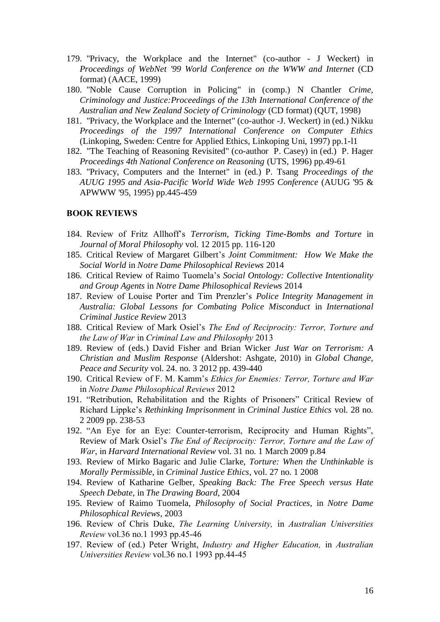- 179. "Privacy, the Workplace and the Internet" (co-author J Weckert) in *Proceedings of WebNet '99 World Conference on the WWW and Internet* (CD format) (AACE, 1999)
- 180. "Noble Cause Corruption in Policing" in (comp.) N Chantler *Crime, Criminology and Justice:Proceedings of the 13th International Conference of the Australian and New Zealand Society of Criminology* (CD format) (QUT, 1998)
- 181. "Privacy, the Workplace and the Internet" (co-author -J. Weckert) in (ed.) Nikku *Proceedings of the 1997 International Conference on Computer Ethics* (Linkoping, Sweden: Centre for Applied Ethics, Linkoping Uni, 1997) pp.1-l1
- 182. "The Teaching of Reasoning Revisited" (co-author P. Casey) in (ed.) P. Hager *Proceedings 4th National Conference on Reasoning* (UTS, 1996) pp.49-61
- 183. "Privacy, Computers and the Internet" in (ed.) P. Tsang *Proceedings of the AUUG 1995 and Asia-Pacific World Wide Web 1995 Conference* (AUUG '95 & APWWW '95, 1995) pp.445-459

#### BOOK REVIEWS

- 184. Review of Fritz Allhoff's *Terrorism, Ticking Time-Bombs and Torture* in *Journal of Moral Philosophy* vol. 12 2015 pp. 116-120
- 185. Critical Review of Margaret Gilbert's *Joint Commitment: How We Make the Social World* in *Notre Dame Philosophical Reviews* 2014
- 186. Critical Review of Raimo Tuomela's *Social Ontology: Collective Intentionality and Group Agents* in *Notre Dame Philosophical Reviews* 2014
- 187. Review of Louise Porter and Tim Prenzler's *Police Integrity Management in Australia: Global Lessons for Combating Police Misconduct* in *International Criminal Justice Review* 2013
- 188. Critical Review of Mark Osiel's *The End of Reciprocity: Terror, Torture and the Law of War in Criminal Law and Philosophy 2013*
- 189. Review of (eds.) David Fisher and Brian Wicker *Just War on Terrorism: A Christian and Muslim Response* (Aldershot: Ashgate, 2010) in *Global Change, Peace and Security* vol. 24. no. 3 2012 pp. 439-440
- 190. Critical Review of F. M. Kamm's *Ethics for Enemies: Terror, Torture and War in Notre Dame Philosophical Reviews 2012*
- 191. "Retribution, Rehabilitation and the Rights of Prisoners" Critical Review of Richard Lippke's *Rethinking Imprisonment* in *Criminal Justice Ethics* vol. 28 no. 2 2009 pp. 238-53
- 192. "An Eye for an Eye: Counter-terrorism, Reciprocity and Human Rights", Review of Mark Osiel's *The End of Reciprocity: Terror, Torture and the Law of War, in Harvard International Review* vol. 31 no. 1 March 2009 p.84
- 193. Review of Mirko Bagaric and Julie Clarke, *Torture: When the Unthinkable is Morally Permissible*, in *Criminal Justice Ethics*, vol. 27 no. 1 2008
- 194. Review of Katharine Gelber, *Speaking Back: The Free Speech versus Hate Speech Debate*, in *The Drawing Board*, 2004
- 195. Review of Raimo Tuomela, *Philosophy of Social Practices*, in *Notre Dame Philosophical Reviews*, 2003
- 196. *Review of Chris Duke, The Learning University, in Australian Universities Review vol.36 no.1 1993 pp.45-46*
- 197. *Review of (ed.) Peter Wright, Industry and Higher Education, in Australian Universities Review vol.36 no.1 1993 pp.44-45*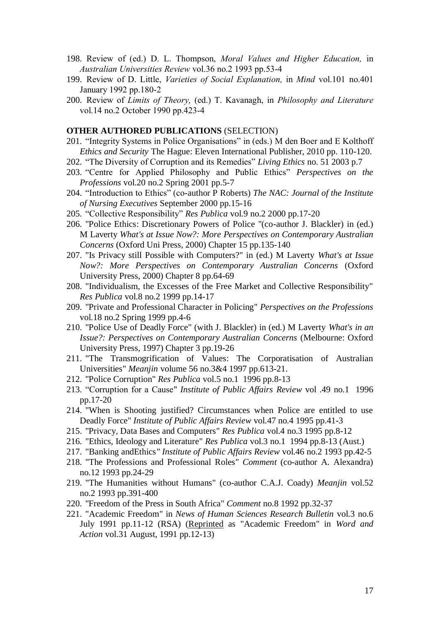- 198. *Review of (ed.) D. L. Thompson, Moral Values and Higher Education, in Australian Universities Review vol.36 no.2 1993 pp.53-4*
- 199. *Review of D. Little, Varieties of Social Explanation, in Mind vol.101 no.401 January 1992 pp.180-2*
- 200. *Review of Limits of Theory, (ed.) T. Kavanagh, in Philosophy and Literature vol.14 no.2 October 1990 pp.423-4*

#### **OTHER AUTHORED PUBLICATIONS** (SELECTION)

- 201. "Integrity Systems in Police Organisations" in (eds.) M den Boer and E Kolthoff *Ethics and Security* The Hague: Eleven International Publisher, 2010 pp. 110-120.
- 202. "The Diversity of Corruption and its Remedies" *Living Ethics* no. 51 2003 p.7
- 203. "Centre for Applied Philosophy and Public Ethics" *Perspectives on the Professions* vol.20 no.2 Spring 2001 pp.5-7
- 204. "Introduction to Ethics" (co-author P Roberts) *The NAC: Journal of the Institute of Nursing Executives* September 2000 pp.15-16
- 205. "Collective Responsibility" *Res Publica* vol.9 no.2 2000 pp.17-20
- 206. "Police Ethics: Discretionary Powers of Police "(co-author J. Blackler) in (ed.) M Laverty *What's at Issue Now?: More Perspectives on Contemporary Australian Concerns* (Oxford Uni Press, 2000) Chapter 15 pp.135-140
- 207. "Is Privacy still Possible with Computers?" in (ed.) M Laverty *What's at Issue Now?: More Perspectives on Contemporary Australian Concerns* (Oxford University Press, 2000) Chapter 8 pp.64-69
- 208. "Individualism, the Excesses of the Free Market and Collective Responsibility" *Res Publica* vol.8 no.2 1999 pp.14-17
- 209. "Private and Professional Character in Policing" *Perspectives on the Professions*  vol.18 no.2 Spring 1999 pp.4-6
- 210. "Police Use of Deadly Force" (with J. Blackler) in (ed.) M Laverty *What's in an Issue?: Perspectives on Contemporary Australian Concerns* (Melbourne: Oxford University Press, 1997) Chapter 3 pp.19-26
- 211. "The Transmogrification of Values: The Corporatisation of Australian Universities" *Meanjin* volume 56 no.3&4 1997 pp.613-21.
- 212. "Police Corruption" *Res Publica* vol.5 no.1 1996 pp.8-13
- 213. "Corruption for a Cause" *Institute of Public Affairs Review* vol .49 no.1 1996 pp.17-20
- 214. "When is Shooting justified? Circumstances when Police are entitled to use Deadly Force" *Institute of Public Affairs Review* vol.47 no.4 1995 pp.41-3
- 215. "Privacy, Data Bases and Computers" *Res Publica* vol.4 no.3 1995 pp.8-12
- 216. "Ethics, Ideology and Literature" *Res Publica* vol.3 no.1 1994 pp.8-13 (Aust.)
- 217. "Banking andEthics*" Institute of Public Affairs Review* vol.46 no.2 1993 pp.42-5
- 218. "The Professions and Professional Roles" *Comment* (co-author A. Alexandra) no.12 1993 pp.24-29
- 219. "The Humanities without Humans" (co-author C.A.J. Coady) *Meanjin* vol.52 no.2 1993 pp.391-400
- 220. "Freedom of the Press in South Africa" *Comment* no.8 1992 pp.32-37
- 221. "Academic Freedom" in *News of Human Sciences Research Bulletin* vol.3 no.6 July 1991 pp.11-12 (RSA) (Reprinted as "Academic Freedom" in *Word and Action* vol.31 August, 1991 pp.12-13)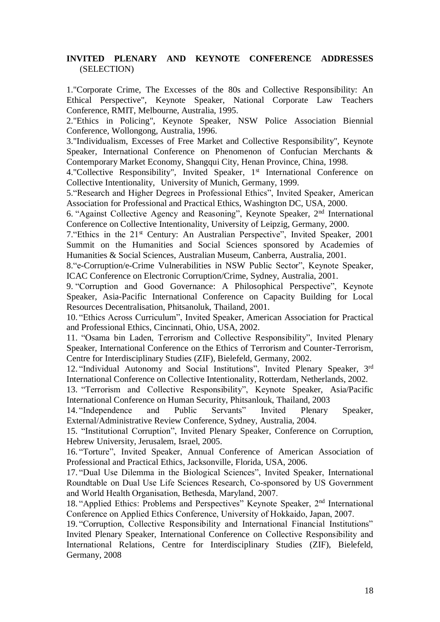# **INVITED PLENARY AND KEYNOTE CONFERENCE ADDRESSES** (SELECTION)

1."Corporate Crime, The Excesses of the 80s and Collective Responsibility: An Ethical Perspective", Keynote Speaker, National Corporate Law Teachers Conference, RMIT, Melbourne, Australia, 1995.

2."Ethics in Policing", Keynote Speaker, NSW Police Association Biennial Conference, Wollongong, Australia, 1996.

3."Individualism, Excesses of Free Market and Collective Responsibility", Keynote Speaker, International Conference on Phenomenon of Confucian Merchants & Contemporary Market Economy, Shangqui City, Henan Province, China, 1998.

4."Collective Responsibility", Invited Speaker, 1<sup>st</sup> International Conference on Collective Intentionality, University of Munich, Germany, 1999.

5."Research and Higher Degrees in Professional Ethics", Invited Speaker, American Association for Professional and Practical Ethics, Washington DC, USA, 2000.

6. "Against Collective Agency and Reasoning", Keynote Speaker, 2nd International Conference on Collective Intentionality, University of Leipzig, Germany, 2000.

7."Ethics in the 21st Century: An Australian Perspective", Invited Speaker, 2001 Summit on the Humanities and Social Sciences sponsored by Academies of Humanities & Social Sciences, Australian Museum, Canberra, Australia, 2001.

8."e-Corruption/e-Crime Vulnerabilities in NSW Public Sector", Keynote Speaker, ICAC Conference on Electronic Corruption/Crime, Sydney, Australia, 2001.

9. "Corruption and Good Governance: A Philosophical Perspective", Keynote Speaker, Asia-Pacific International Conference on Capacity Building for Local Resources Decentralisation, Phitsanoluk, Thailand, 2001.

10. "Ethics Across Curriculum", Invited Speaker, American Association for Practical and Professional Ethics, Cincinnati, Ohio, USA, 2002.

11. "Osama bin Laden, Terrorism and Collective Responsibility", Invited Plenary Speaker, International Conference on the Ethics of Terrorism and Counter-Terrorism, Centre for Interdisciplinary Studies (ZIF), Bielefeld, Germany, 2002.

12. "Individual Autonomy and Social Institutions", Invited Plenary Speaker, 3rd International Conference on Collective Intentionality, Rotterdam, Netherlands, 2002.

13. "Terrorism and Collective Responsibility", Keynote Speaker, Asia/Pacific International Conference on Human Security, Phitsanlouk, Thailand, 2003

14. "Independence and Public Servants" Invited Plenary Speaker, External/Administrative Review Conference, Sydney, Australia, 2004.

15. "Institutional Corruption", Invited Plenary Speaker, Conference on Corruption, Hebrew University, Jerusalem, Israel, 2005.

16. "Torture", Invited Speaker, Annual Conference of American Association of Professional and Practical Ethics, Jacksonville, Florida, USA, 2006.

17. *"Dual Use Dilemma in the Biological Sciences", Invited Speaker, International Roundtable on Dual Use Life Sciences Research, Co-sponsored by US Government and World Health Organisation, Bethesda, Maryland, 2007.*

18. *"Applied Ethics: Problems and Perspectives" Keynote Speaker, 2 nd International Conference on Applied Ethics Conference, University of Hokkaido, Japan, 2007.*

19. "Corruption, Collective Responsibility and International Financial Institutions" Invited Plenary Speaker, International Conference on *Collective Responsibility and International Relations*, Centre for Interdisciplinary Studies (ZIF), Bielefeld, Germany, 2008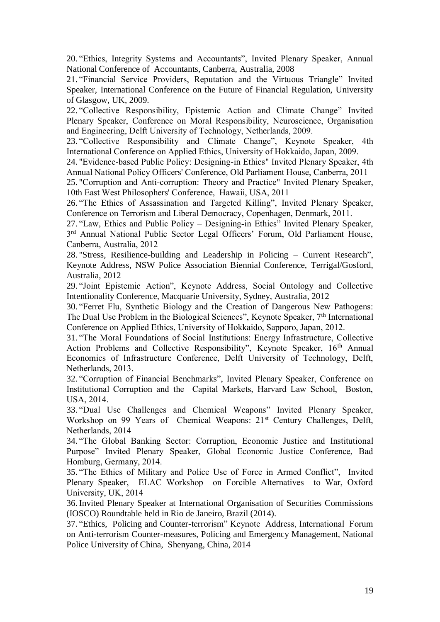20. "Ethics, Integrity Systems and Accountants", Invited Plenary Speaker, Annual National Conference of Accountants, Canberra, Australia, 2008

21. "Financial Service Providers, Reputation and the Virtuous Triangle" Invited Speaker, International Conference on the Future of Financial Regulation, University of Glasgow, UK, 2009.

22. *"Collective Responsibility, Epistemic Action and Climate Change" Invited Plenary Speaker, Conference on Moral Responsibility, Neuroscience, Organisation and Engineering, Delft University of Technology, Netherlands, 2009.*

23. *"Collective Responsibility and Climate Change", Keynote Speaker, 4th International Conference on Applied Ethics, University of Hokkaido, Japan, 2009.*

24. *"Evidence-based Public Policy: Designing-in Ethics" Invited Plenary Speaker, 4th Annual National Policy Officers' Conference, Old Parliament House, Canberra, 2011*

25. *"Corruption and Anti-corruption: Theory and Practice" Invited Plenary Speaker, 10th East West Philosophers' Conference, Hawaii, USA, 2011*

26. *"The Ethics of Assassination and Targeted Killing", Invited Plenary Speaker, Conference on Terrorism and Liberal Democracy, Copenhagen, Denmark, 2011.*

27. *"Law, Ethics and Public Policy – Designing-in Ethics" Invited Plenary Speaker, 3 rd Annual National Public Sector Legal Officers' Forum, Old Parliament House, Canberra, Australia, 2012*

28. "Stress, Resilience-building and Leadership in Policing – Current Research", Keynote Address, NSW Police Association Biennial Conference, Terrigal/Gosford, Australia, 2012

29. "Joint Epistemic Action", Keynote Address, Social Ontology and Collective Intentionality Conference, Macquarie University, Sydney, Australia, 2012

30. *"Ferret Flu, Synthetic Biology and the Creation of Dangerous New Pathogens: The Dual Use Problem in the Biological Sciences", Keynote Speaker, 7th International Conference on Applied Ethics, University of Hokkaido, Sapporo, Japan, 2012.*

31. *"The Moral Foundations of Social Institutions: Energy Infrastructure, Collective Action Problems and Collective Responsibility", Keynote Speaker, 16th Annual Economics of Infrastructure Conference, Delft University of Technology, Delft, Netherlands, 2013.*

32. *"Corruption of Financial Benchmarks", Invited Plenary Speaker, Conference on Institutional Corruption and the Capital Markets, Harvard Law School, Boston, USA, 2014.*

33. *"Dual Use Challenges and Chemical Weapons" Invited Plenary Speaker, Workshop on 99 Years of Chemical Weapons: 21st Century Challenges, Delft, Netherlands, 2014*

34. *"The Global Banking Sector: Corruption, Economic Justice and Institutional Purpose" Invited Plenary Speaker, Global Economic Justice Conference, Bad Homburg, Germany, 2014.*

35. *"The Ethics of Military and Police Use of Force in Armed Conflict", Invited Plenary Speaker, ELAC Workshop on Forcible Alternatives to War, Oxford University, UK, 2014*

36. Invited Plenary Speaker at International Organisation of Securities Commissions (IOSCO) Roundtable held in Rio de Janeiro, Brazil (2014).

37. "Ethics, Policing and Counter-terrorism" Keynote Address, International Forum on Anti-terrorism Counter-measures, Policing and Emergency Management, National Police University of China, Shenyang, China, 2014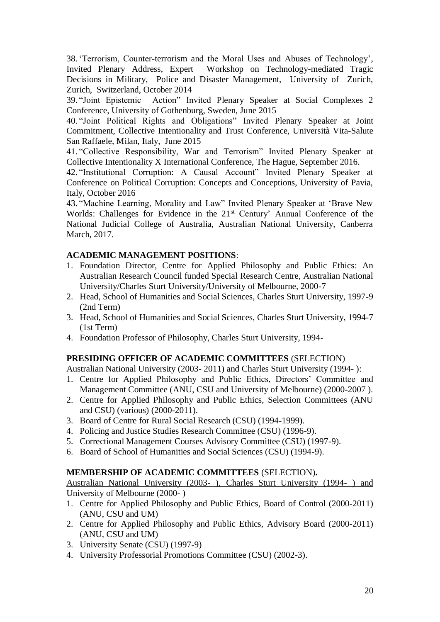38. 'Terrorism, Counter-terrorism and the Moral Uses and Abuses of Technology', Invited Plenary Address, Expert Workshop on Technology-mediated Tragic Decisions in Military, Police and Disaster Management, University of Zurich, Zurich, Switzerland, October 2014

39. "Joint Epistemic Action" Invited Plenary Speaker at Social Complexes 2 Conference, University of Gothenburg, Sweden, June 2015

40. "Joint Political Rights and Obligations" Invited Plenary Speaker at Joint Commitment, Collective Intentionality and Trust Conference, Università Vita-Salute San Raffaele, Milan, Italy, June 2015

41. "Collective Responsibility, War and Terrorism" Invited Plenary Speaker at Collective Intentionality X International Conference, The Hague, September 2016.

42. "Institutional Corruption: A Causal Account" Invited Plenary Speaker at Conference on Political Corruption: Concepts and Conceptions, University of Pavia, Italy, October 2016

43. "Machine Learning, Morality and Law" Invited Plenary Speaker at 'Brave New Worlds: Challenges for Evidence in the 21<sup>st</sup> Century' Annual Conference of the National Judicial College of Australia, Australian National University, Canberra March, 2017.

# **ACADEMIC MANAGEMENT POSITIONS**:

- 1. Foundation Director, Centre for Applied Philosophy and Public Ethics: An Australian Research Council funded Special Research Centre, Australian National University/Charles Sturt University/University of Melbourne, 2000-7
- 2. Head, School of Humanities and Social Sciences, Charles Sturt University, 1997-9 (2nd Term)
- 3. Head, School of Humanities and Social Sciences, Charles Sturt University, 1994-7 (1st Term)
- 4. Foundation Professor of Philosophy, Charles Sturt University, 1994-

# **PRESIDING OFFICER OF ACADEMIC COMMITTEES** (SELECTION)

Australian National University (2003- 2011) and Charles Sturt University (1994- ):

- 1. Centre for Applied Philosophy and Public Ethics, Directors' Committee and Management Committee (ANU, CSU and University of Melbourne) (2000-2007 ).
- 2. Centre for Applied Philosophy and Public Ethics, Selection Committees (ANU and CSU) (various) (2000-2011).
- 3. Board of Centre for Rural Social Research (CSU) (1994-1999).
- 4. Policing and Justice Studies Research Committee (CSU) (1996-9).
- 5. Correctional Management Courses Advisory Committee (CSU) (1997-9).
- 6. Board of School of Humanities and Social Sciences (CSU) (1994-9).

## **MEMBERSHIP OF ACADEMIC COMMITTEES** (SELECTION)**.**

Australian National University (2003- ), Charles Sturt University (1994- ) and University of Melbourne (2000- )

- 1. Centre for Applied Philosophy and Public Ethics, Board of Control (2000-2011) (ANU, CSU and UM)
- 2. Centre for Applied Philosophy and Public Ethics, Advisory Board (2000-2011) (ANU, CSU and UM)
- 3. University Senate (CSU) (1997-9)
- 4. University Professorial Promotions Committee (CSU) (2002-3).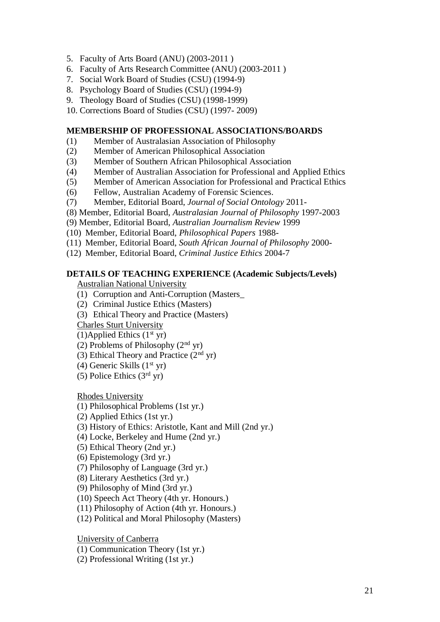- 5. Faculty of Arts Board (ANU) (2003-2011 )
- 6. Faculty of Arts Research Committee (ANU) (2003-2011 )
- 7. Social Work Board of Studies (CSU) (1994-9)
- 8. Psychology Board of Studies (CSU) (1994-9)
- 9. Theology Board of Studies (CSU) (1998-1999)
- 10. Corrections Board of Studies (CSU) (1997- 2009)

# **MEMBERSHIP OF PROFESSIONAL ASSOCIATIONS/BOARDS**

- (1) Member of Australasian Association of Philosophy
- (2) Member of American Philosophical Association
- (3) Member of Southern African Philosophical Association
- (4) Member of Australian Association for Professional and Applied Ethics
- (5) Member of American Association for Professional and Practical Ethics
- (6) Fellow, Australian Academy of Forensic Sciences.
- (7) Member, Editorial Board, *Journal of Social Ontology* 2011-
- (8) Member, Editorial Board, *Australasian Journal of Philosophy* 1997-2003
- (9) Member, Editorial Board, *Australian Journalism Review* 1999
- (10) Member, Editorial Board, *Philosophical Papers* 1988-
- (11) Member, Editorial Board, *South African Journal of Philosophy* 2000-
- (12) Member, Editorial Board, *Criminal Justice Ethics* 2004-7

# **DETAILS OF TEACHING EXPERIENCE (Academic Subjects/Levels)**

Australian National University

- (1) Corruption and Anti-Corruption (Masters\_
- (2) Criminal Justice Ethics (Masters)
- (3) Ethical Theory and Practice (Masters)

Charles Sturt University

- (1)Applied Ethics  $(1<sup>st</sup> yr)$
- (2) Problems of Philosophy  $(2<sup>nd</sup>$  yr)
- (3) Ethical Theory and Practice  $(2<sup>nd</sup>$  yr)
- (4) Generic Skills  $(1<sup>st</sup> yr)$
- (5) Police Ethics  $(3<sup>rd</sup>$  yr)

Rhodes University

- (1) Philosophical Problems (1st yr.)
- (2) Applied Ethics (1st yr.)
- (3) History of Ethics: Aristotle, Kant and Mill (2nd yr.)
- (4) Locke, Berkeley and Hume (2nd yr.)
- (5) Ethical Theory (2nd yr.)
- (6) Epistemology (3rd yr.)
- (7) Philosophy of Language (3rd yr.)
- (8) Literary Aesthetics (3rd yr.)
- (9) Philosophy of Mind (3rd yr.)
- (10) Speech Act Theory (4th yr. Honours.)
- (11) Philosophy of Action (4th yr. Honours.)
- (12) Political and Moral Philosophy (Masters)

University of Canberra

(1) Communication Theory (1st yr.)

(2) Professional Writing (1st yr.)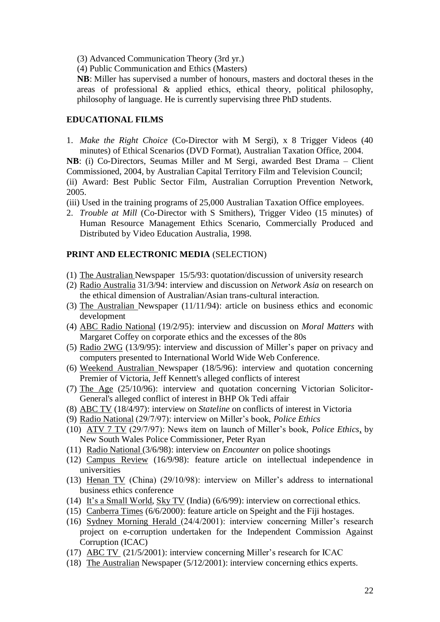- (3) Advanced Communication Theory (3rd yr.)
- (4) Public Communication and Ethics (Masters)

**NB**: Miller has supervised a number of honours, masters and doctoral theses in the areas of professional & applied ethics, ethical theory, political philosophy, philosophy of language. He is currently supervising three PhD students.

# **EDUCATIONAL FILMS**

1. *Make the Right Choice* (Co-Director with M Sergi), x 8 Trigger Videos (40 minutes) of Ethical Scenarios (DVD Format), Australian Taxation Office, 2004.

**NB**: (i) Co-Directors, Seumas Miller and M Sergi, awarded Best Drama – Client Commissioned, 2004, by Australian Capital Territory Film and Television Council; (ii) Award: Best Public Sector Film, Australian Corruption Prevention Network, 2005.

- (iii) Used in the training programs of 25,000 Australian Taxation Office employees.
- 2. *Trouble at Mill* (Co-Director with S Smithers), Trigger Video (15 minutes) of Human Resource Management Ethics Scenario, Commercially Produced and Distributed by Video Education Australia, 1998.

# **PRINT AND ELECTRONIC MEDIA** (SELECTION)

- (1) The Australian Newspaper 15/5/93: quotation/discussion of university research
- (2) Radio Australia 31/3/94: interview and discussion on *Network Asia* on research on the ethical dimension of Australian/Asian trans-cultural interaction.
- (3) The Australian Newspaper (11/11/94): article on business ethics and economic development
- (4) ABC Radio National (19/2/95): interview and discussion on *Moral Matters* with Margaret Coffey on corporate ethics and the excesses of the 80s
- (5) Radio 2WG (13/9/95): interview and discussion of Miller's paper on privacy and computers presented to International World Wide Web Conference.
- (6) Weekend Australian Newspaper (18/5/96): interview and quotation concerning Premier of Victoria, Jeff Kennett's alleged conflicts of interest
- (7) The Age (25/10/96): interview and quotation concerning Victorian Solicitor-General's alleged conflict of interest in BHP Ok Tedi affair
- (8) ABC TV (18/4/97): interview on *Stateline* on conflicts of interest in Victoria
- (9) Radio National (29/7/97): interview on Miller's book, *Police Ethics*
- (10) ATV 7 TV (29/7/97): News item on launch of Miller's book, *Police Ethics*, by New South Wales Police Commissioner, Peter Ryan
- (11) Radio National (3/6/98): interview on *Encounter* on police shootings
- (12) Campus Review (16/9/98): feature article on intellectual independence in universities
- (13) Henan TV (China) (29/10/98): interview on Miller's address to international business ethics conference
- (14) It's a Small World, Sky TV (India) (6/6/99): interview on correctional ethics.
- (15) Canberra Times (6/6/2000): feature article on Speight and the Fiji hostages.
- (16) Sydney Morning Herald (24/4/2001): interview concerning Miller's research project on e-corruption undertaken for the Independent Commission Against Corruption (ICAC)
- (17) ABC TV (21/5/2001): interview concerning Miller's research for ICAC
- (18) The Australian Newspaper (5/12/2001): interview concerning ethics experts.